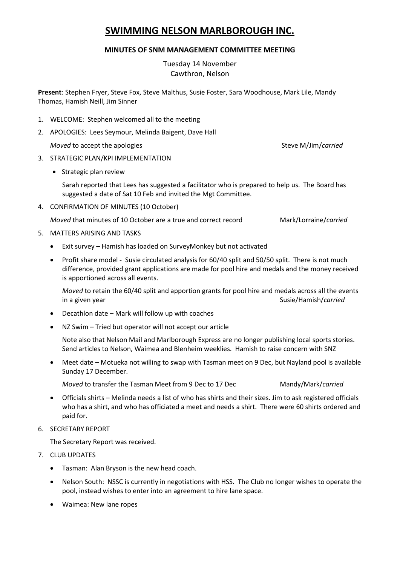# **SWIMMING NELSON MARLBOROUGH INC.**

## **MINUTES OF SNM MANAGEMENT COMMITTEE MEETING**

Tuesday 14 November Cawthron, Nelson

**Present**: Stephen Fryer, Steve Fox, Steve Malthus, Susie Foster, Sara Woodhouse, Mark Lile, Mandy Thomas, Hamish Neill, Jim Sinner

- 1. WELCOME: Stephen welcomed all to the meeting
- 2. APOLOGIES: Lees Seymour, Melinda Baigent, Dave Hall

*Moved* to accept the apologies Steve M/Jim/*carried* Steve M/Jim/*carried* 

- 3. STRATEGIC PLAN/KPI IMPLEMENTATION
	- Strategic plan review

Sarah reported that Lees has suggested a facilitator who is prepared to help us. The Board has suggested a date of Sat 10 Feb and invited the Mgt Committee.

4. CONFIRMATION OF MINUTES (10 October)

*Moved* that minutes of 10 October are a true and correct record Mark/Lorraine/*carried*

- 5. MATTERS ARISING AND TASKS
	- Exit survey Hamish has loaded on SurveyMonkey but not activated
	- Profit share model Susie circulated analysis for 60/40 split and 50/50 split. There is not much difference, provided grant applications are made for pool hire and medals and the money received is apportioned across all events.

*Moved* to retain the 60/40 split and apportion grants for pool hire and medals across all the events in a given year Susie/Hamish/*carried* Susie/Hamish/*carried* 

- Decathlon date Mark will follow up with coaches
- NZ Swim Tried but operator will not accept our article

Note also that Nelson Mail and Marlborough Express are no longer publishing local sports stories. Send articles to Nelson, Waimea and Blenheim weeklies. Hamish to raise concern with SNZ

 Meet date – Motueka not willing to swap with Tasman meet on 9 Dec, but Nayland pool is available Sunday 17 December.

*Moved* to transfer the Tasman Meet from 9 Dec to 17 Dec Mandy/Mark/*carried* 

- Officials shirts Melinda needs a list of who has shirts and their sizes. Jim to ask registered officials who has a shirt, and who has officiated a meet and needs a shirt. There were 60 shirts ordered and paid for.
- 6. SECRETARY REPORT

The Secretary Report was received.

- 7. CLUB UPDATES
	- Tasman: Alan Bryson is the new head coach.
	- Nelson South: NSSC is currently in negotiations with HSS. The Club no longer wishes to operate the pool, instead wishes to enter into an agreement to hire lane space.
	- Waimea: New lane ropes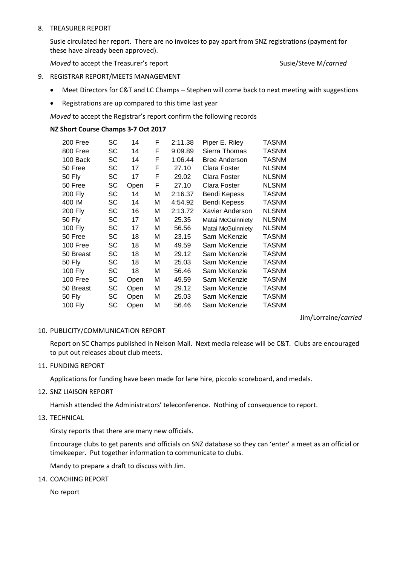## 8. TREASURER REPORT

Susie circulated her report. There are no invoices to pay apart from SNZ registrations (payment for these have already been approved).

*Moved* to accept the Treasurer's report Susie/Steve M/*carried* Susie/Steve M/*carried* 

## 9. REGISTRAR REPORT/MEETS MANAGEMENT

- Meet Directors for C&T and LC Champs Stephen will come back to next meeting with suggestions
- Registrations are up compared to this time last year

*Moved* to accept the Registrar's report confirm the following records

## **NZ Short Course Champs 3-7 Oct 2017**

| 200 Free       | SC | 14   | F | 2:11.38 | Piper E. Riley       | TASNM        |
|----------------|----|------|---|---------|----------------------|--------------|
| 800 Free       | SC | 14   | F | 9:09.89 | Sierra Thomas        | TASNM        |
| 100 Back       | SC | 14   | F | 1:06.44 | <b>Bree Anderson</b> | TASNM        |
| 50 Free        | SC | 17   | F | 27.10   | Clara Foster         | <b>NLSNM</b> |
| 50 Fly         | SC | 17   | F | 29.02   | Clara Foster         | <b>NLSNM</b> |
| 50 Free        | SC | Open | F | 27.10   | Clara Foster         | <b>NLSNM</b> |
| <b>200 Fly</b> | SC | 14   | М | 2:16.37 | Bendi Kepess         | <b>TASNM</b> |
| 400 IM         | SC | 14   | М | 4:54.92 | Bendi Kepess         | TASNM        |
| 200 Fly        | SC | 16   | М | 2:13.72 | Xavier Anderson      | <b>NLSNM</b> |
| 50 Fly         | SC | 17   | М | 25.35   | Matai McGuinniety    | <b>NLSNM</b> |
| 100 Fly        | SC | 17   | М | 56.56   | Matai McGuinniety    | <b>NLSNM</b> |
| 50 Free        | SC | 18   | М | 23.15   | Sam McKenzie         | <b>TASNM</b> |
| 100 Free       | SC | 18   | м | 49.59   | Sam McKenzie         | <b>TASNM</b> |
| 50 Breast      | SC | 18   | м | 29.12   | Sam McKenzie         | TASNM        |
| <b>50 Fly</b>  | SC | 18   | м | 25.03   | Sam McKenzie         | TASNM        |
| 100 Fly        | SC | 18   | М | 56.46   | Sam McKenzie         | TASNM        |
| 100 Free       | SC | Open | М | 49.59   | Sam McKenzie         | TASNM        |
| 50 Breast      | SC | Open | М | 29.12   | Sam McKenzie         | TASNM        |
| 50 Fly         | SC | Open | М | 25.03   | Sam McKenzie         | <b>TASNM</b> |
| 100 Fly        | SC | Open | М | 56.46   | Sam McKenzie         | <b>TASNM</b> |

Jim/Lorraine/*carried*

## 10. PUBLICITY/COMMUNICATION REPORT

Report on SC Champs published in Nelson Mail. Next media release will be C&T. Clubs are encouraged to put out releases about club meets.

11. FUNDING REPORT

Applications for funding have been made for lane hire, piccolo scoreboard, and medals.

12. SNZ LIAISON REPORT

Hamish attended the Administrators' teleconference. Nothing of consequence to report.

13. TECHNICAL

Kirsty reports that there are many new officials.

Encourage clubs to get parents and officials on SNZ database so they can 'enter' a meet as an official or timekeeper. Put together information to communicate to clubs.

Mandy to prepare a draft to discuss with Jim.

14. COACHING REPORT

No report